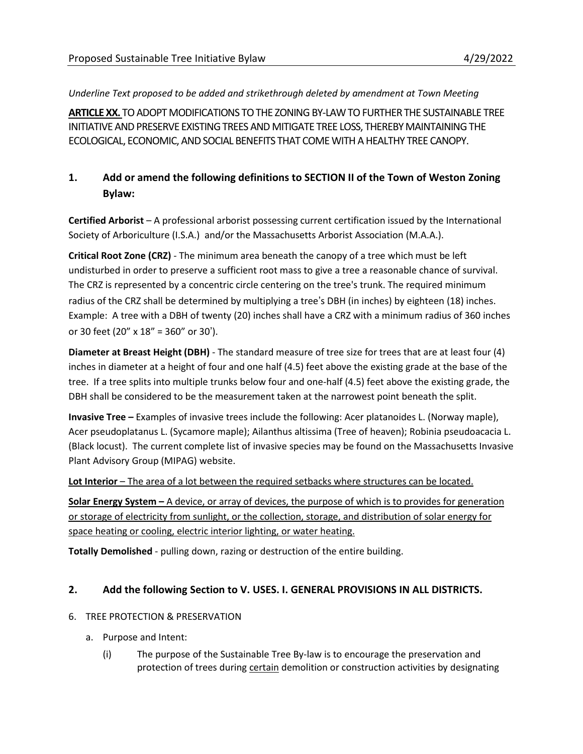*Underline Text proposed to be added and strikethrough deleted by amendment at Town Meeting*

ARTICLE XX. TO ADOPT MODIFICATIONS TO THE ZONING BY-LAW TO FURTHER THE SUSTAINABLE TREE INITIATIVE AND PRESERVE EXISTING TREES AND MITIGATE TREE LOSS, THEREBY MAINTAINING THE ECOLOGICAL, ECONOMIC, AND SOCIAL BENEFITS THAT COME WITH A HEALTHY TREE CANOPY.

## **1. Add or amend the following definitions to SECTION II of the Town of Weston Zoning Bylaw:**

**Certified Arborist** – A professional arborist possessing current certification issued by the International Society of Arboriculture (I.S.A.) and/or the Massachusetts Arborist Association (M.A.A.).

**Critical Root Zone (CRZ)** - The minimum area beneath the canopy of a tree which must be left undisturbed in order to preserve a sufficient root mass to give a tree a reasonable chance of survival. The CRZ is represented by a concentric circle centering on the tree's trunk. The required minimum radius of the CRZ shall be determined by multiplying a tree's DBH (in inches) by eighteen (18) inches. Example: A tree with a DBH of twenty (20) inches shall have a CRZ with a minimum radius of 360 inches or 30 feet (20" x 18" = 360" or 30').

**Diameter at Breast Height (DBH)** - The standard measure of tree size for trees that are at least four (4) inches in diameter at a height of four and one half (4.5) feet above the existing grade at the base of the tree. If a tree splits into multiple trunks below four and one-half (4.5) feet above the existing grade, the DBH shall be considered to be the measurement taken at the narrowest point beneath the split.

**Invasive Tree –** Examples of invasive trees include the following: Acer platanoides L. (Norway maple), Acer pseudoplatanus L. (Sycamore maple); Ailanthus altissima (Tree of heaven); Robinia pseudoacacia L. (Black locust). The current complete list of invasive species may be found on the Massachusetts Invasive Plant Advisory Group (MIPAG) website.

**Lot Interior** – The area of a lot between the required setbacks where structures can be located.

**Solar Energy System –** A device, or array of devices, the purpose of which is to provides for generation or storage of electricity from sunlight, or the collection, storage, and distribution of solar energy for space heating or cooling, electric interior lighting, or water heating.

**Totally Demolished** - pulling down, razing or destruction of the entire building.

## **2. Add the following Section to V. USES. I. GENERAL PROVISIONS IN ALL DISTRICTS.**

## 6. TREE PROTECTION & PRESERVATION

- a. Purpose and Intent:
	- (i) The purpose of the Sustainable Tree By-law is to encourage the preservation and protection of trees during certain demolition or construction activities by designating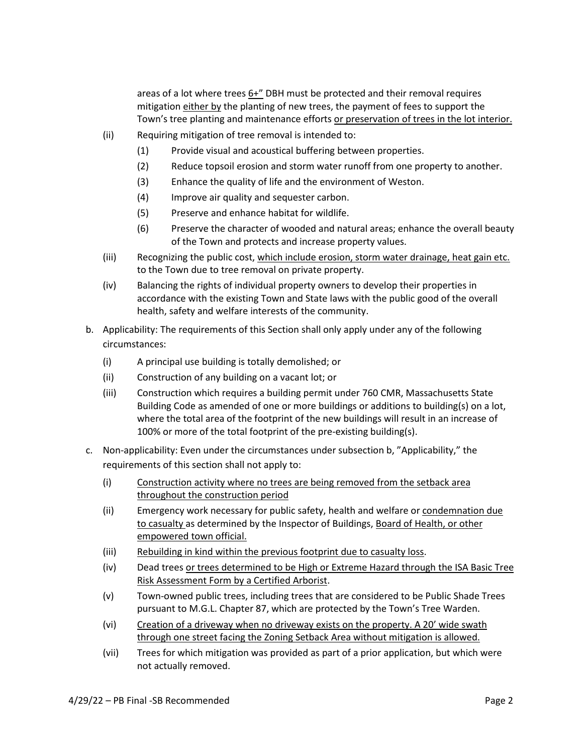areas of a lot where trees  $6+$ " DBH must be protected and their removal requires mitigation either by the planting of new trees, the payment of fees to support the Town's tree planting and maintenance efforts or preservation of trees in the lot interior.

- (ii) Requiring mitigation of tree removal is intended to:
	- (1) Provide visual and acoustical buffering between properties.
	- (2) Reduce topsoil erosion and storm water runoff from one property to another.
	- (3) Enhance the quality of life and the environment of Weston.
	- (4) Improve air quality and sequester carbon.
	- (5) Preserve and enhance habitat for wildlife.
	- (6) Preserve the character of wooded and natural areas; enhance the overall beauty of the Town and protects and increase property values.
- (iii) Recognizing the public cost, which include erosion, storm water drainage, heat gain etc. to the Town due to tree removal on private property.
- (iv) Balancing the rights of individual property owners to develop their properties in accordance with the existing Town and State laws with the public good of the overall health, safety and welfare interests of the community.
- b. Applicability: The requirements of this Section shall only apply under any of the following circumstances:
	- (i) A principal use building is totally demolished; or
	- (ii) Construction of any building on a vacant lot; or
	- (iii) Construction which requires a building permit under 760 CMR, Massachusetts State Building Code as amended of one or more buildings or additions to building(s) on a lot, where the total area of the footprint of the new buildings will result in an increase of 100% or more of the total footprint of the pre-existing building(s).
- c. Non-applicability: Even under the circumstances under subsection b, "Applicability," the requirements of this section shall not apply to:
	- (i) Construction activity where no trees are being removed from the setback area throughout the construction period
	- (ii) Emergency work necessary for public safety, health and welfare or condemnation due to casualty as determined by the Inspector of Buildings, Board of Health, or other empowered town official.
	- (iii) Rebuilding in kind within the previous footprint due to casualty loss.
	- (iv) Dead trees or trees determined to be High or Extreme Hazard through the ISA Basic Tree Risk Assessment Form by a Certified Arborist.
	- (v) Town-owned public trees, including trees that are considered to be Public Shade Trees pursuant to M.G.L. Chapter 87, which are protected by the Town's Tree Warden.
	- (vi) Creation of a driveway when no driveway exists on the property. A 20' wide swath through one street facing the Zoning Setback Area without mitigation is allowed.
	- (vii) Trees for which mitigation was provided as part of a prior application, but which were not actually removed.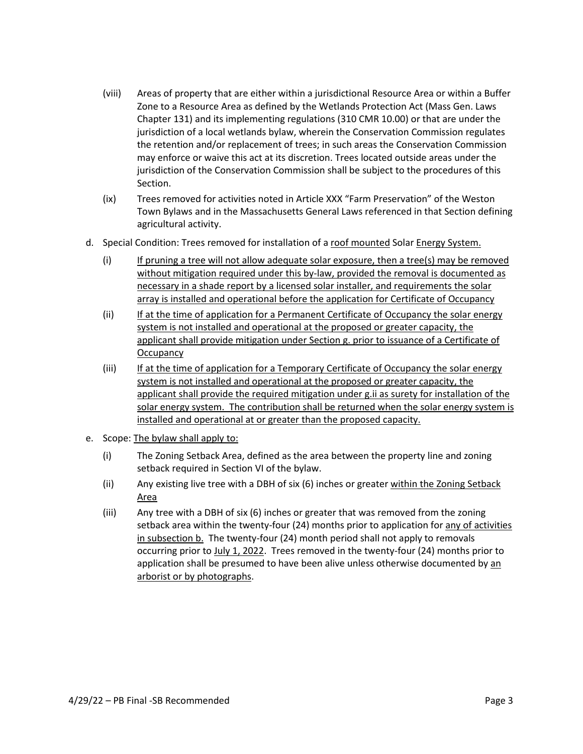- (viii) Areas of property that are either within a jurisdictional Resource Area or within a Buffer Zone to a Resource Area as defined by the Wetlands Protection Act (Mass Gen. Laws Chapter 131) and its implementing regulations (310 CMR 10.00) or that are under the jurisdiction of a local wetlands bylaw, wherein the Conservation Commission regulates the retention and/or replacement of trees; in such areas the Conservation Commission may enforce or waive this act at its discretion. Trees located outside areas under the jurisdiction of the Conservation Commission shall be subject to the procedures of this Section.
- (ix) Trees removed for activities noted in Article XXX "Farm Preservation" of the Weston Town Bylaws and in the Massachusetts General Laws referenced in that Section defining agricultural activity.
- d. Special Condition: Trees removed for installation of a roof mounted Solar Energy System.
	- (i) If pruning a tree will not allow adequate solar exposure, then a tree(s) may be removed without mitigation required under this by-law, provided the removal is documented as necessary in a shade report by a licensed solar installer, and requirements the solar array is installed and operational before the application for Certificate of Occupancy
	- (ii) If at the time of application for a Permanent Certificate of Occupancy the solar energy system is not installed and operational at the proposed or greater capacity, the applicant shall provide mitigation under Section g. prior to issuance of a Certificate of **Occupancy**
	- (iii) If at the time of application for a Temporary Certificate of Occupancy the solar energy system is not installed and operational at the proposed or greater capacity, the applicant shall provide the required mitigation under g.ii as surety for installation of the solar energy system. The contribution shall be returned when the solar energy system is installed and operational at or greater than the proposed capacity.
- e. Scope: The bylaw shall apply to:
	- (i) The Zoning Setback Area, defined as the area between the property line and zoning setback required in Section VI of the bylaw.
	- (ii) Any existing live tree with a DBH of six  $(6)$  inches or greater within the Zoning Setback Area
	- (iii) Any tree with a DBH of six (6) inches or greater that was removed from the zoning setback area within the twenty-four (24) months prior to application for any of activities in subsection b. The twenty-four (24) month period shall not apply to removals occurring prior to July 1, 2022. Trees removed in the twenty-four (24) months prior to application shall be presumed to have been alive unless otherwise documented by an arborist or by photographs.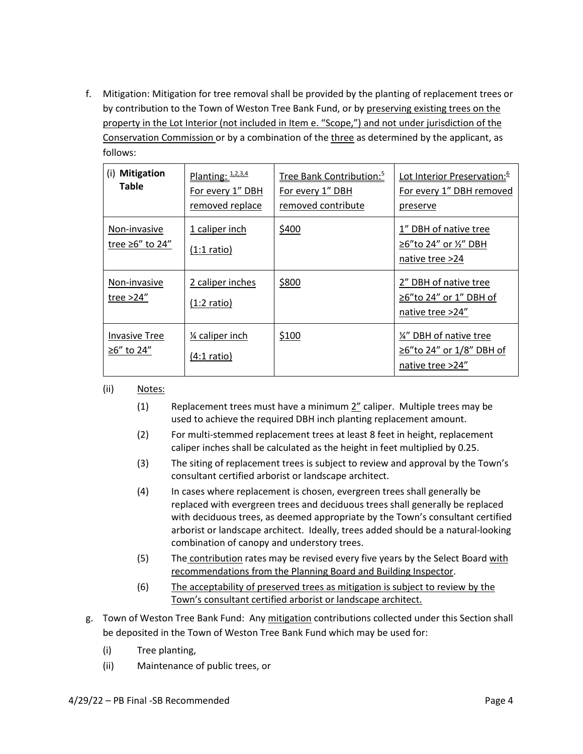f. Mitigation: Mitigation for tree removal shall be provided by the planting of replacement trees or by contribution to the Town of Weston Tree Bank Fund, or by preserving existing trees on the property in the Lot Interior (not included in Item e. "Scope,") and not under jurisdiction of the Conservation Commission or by a combination of the three as determined by the applicant, as follows:

| <b>Mitigation</b><br>(i)<br><b>Table</b> | Planting: $1.2.3.4$<br>For every 1" DBH<br>removed replace | Tree Bank Contribution: <sup>5</sup><br>For every 1" DBH<br>removed contribute | Lot Interior Preservation: <sup>6</sup><br>For every 1" DBH removed<br>preserve |
|------------------------------------------|------------------------------------------------------------|--------------------------------------------------------------------------------|---------------------------------------------------------------------------------|
| Non-invasive<br>tree $\geq 6''$ to 24"   | 1 caliper inch<br>$(1:1 \text{ ratio})$                    | \$400                                                                          | 1" DBH of native tree<br>≥6"to 24" or ½" DBH<br>native tree >24                 |
| Non-invasive<br>tree > 24"               | 2 caliper inches<br>$(1:2 \text{ ratio})$                  | \$800                                                                          | 2" DBH of native tree<br>≥6"to 24" or 1" DBH of<br>native tree >24"             |
| <b>Invasive Tree</b><br>≥6" to 24"       | 1⁄4 caliper inch<br>$(4:1$ ratio)                          | \$100                                                                          | 1/4" DBH of native tree<br>≥6"to 24" or 1/8" DBH of<br>native tree >24"         |

- (ii) Notes:
	- (1) Replacement trees must have a minimum 2" caliper. Multiple trees may be used to achieve the required DBH inch planting replacement amount.
	- (2) For multi-stemmed replacement trees at least 8 feet in height, replacement caliper inches shall be calculated as the height in feet multiplied by 0.25.
	- (3) The siting of replacement trees is subject to review and approval by the Town's consultant certified arborist or landscape architect.
	- (4) In cases where replacement is chosen, evergreen trees shall generally be replaced with evergreen trees and deciduous trees shall generally be replaced with deciduous trees, as deemed appropriate by the Town's consultant certified arborist or landscape architect. Ideally, trees added should be a natural-looking combination of canopy and understory trees.
	- (5) The contribution rates may be revised every five years by the Select Board with recommendations from the Planning Board and Building Inspector.
	- (6) The acceptability of preserved trees as mitigation is subject to review by the Town's consultant certified arborist or landscape architect.
- g. Town of Weston Tree Bank Fund: Any mitigation contributions collected under this Section shall be deposited in the Town of Weston Tree Bank Fund which may be used for:
	- (i) Tree planting,
	- (ii) Maintenance of public trees, or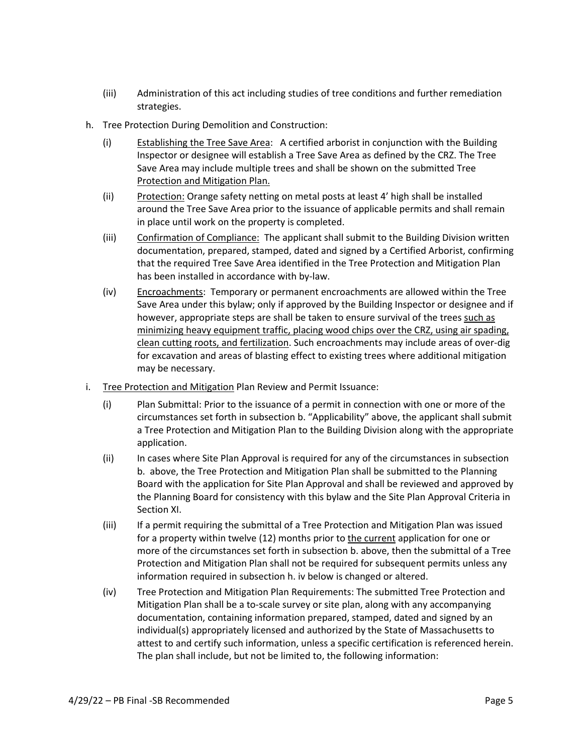- (iii) Administration of this act including studies of tree conditions and further remediation strategies.
- h. Tree Protection During Demolition and Construction:
	- (i) Establishing the Tree Save Area: A certified arborist in conjunction with the Building Inspector or designee will establish a Tree Save Area as defined by the CRZ. The Tree Save Area may include multiple trees and shall be shown on the submitted Tree Protection and Mitigation Plan.
	- (ii) Protection: Orange safety netting on metal posts at least 4' high shall be installed around the Tree Save Area prior to the issuance of applicable permits and shall remain in place until work on the property is completed.
	- (iii) Confirmation of Compliance: The applicant shall submit to the Building Division written documentation, prepared, stamped, dated and signed by a Certified Arborist, confirming that the required Tree Save Area identified in the Tree Protection and Mitigation Plan has been installed in accordance with by-law.
	- (iv) Encroachments: Temporary or permanent encroachments are allowed within the Tree Save Area under this bylaw; only if approved by the Building Inspector or designee and if however, appropriate steps are shall be taken to ensure survival of the trees such as minimizing heavy equipment traffic, placing wood chips over the CRZ, using air spading, clean cutting roots, and fertilization. Such encroachments may include areas of over-dig for excavation and areas of blasting effect to existing trees where additional mitigation may be necessary.
- i. Tree Protection and Mitigation Plan Review and Permit Issuance:
	- (i) Plan Submittal: Prior to the issuance of a permit in connection with one or more of the circumstances set forth in subsection b. "Applicability" above, the applicant shall submit a Tree Protection and Mitigation Plan to the Building Division along with the appropriate application.
	- (ii) In cases where Site Plan Approval is required for any of the circumstances in subsection b. above, the Tree Protection and Mitigation Plan shall be submitted to the Planning Board with the application for Site Plan Approval and shall be reviewed and approved by the Planning Board for consistency with this bylaw and the Site Plan Approval Criteria in Section XI.
	- (iii) If a permit requiring the submittal of a Tree Protection and Mitigation Plan was issued for a property within twelve (12) months prior to the current application for one or more of the circumstances set forth in subsection b. above, then the submittal of a Tree Protection and Mitigation Plan shall not be required for subsequent permits unless any information required in subsection h. iv below is changed or altered.
	- (iv) Tree Protection and Mitigation Plan Requirements: The submitted Tree Protection and Mitigation Plan shall be a to-scale survey or site plan, along with any accompanying documentation, containing information prepared, stamped, dated and signed by an individual(s) appropriately licensed and authorized by the State of Massachusetts to attest to and certify such information, unless a specific certification is referenced herein. The plan shall include, but not be limited to, the following information: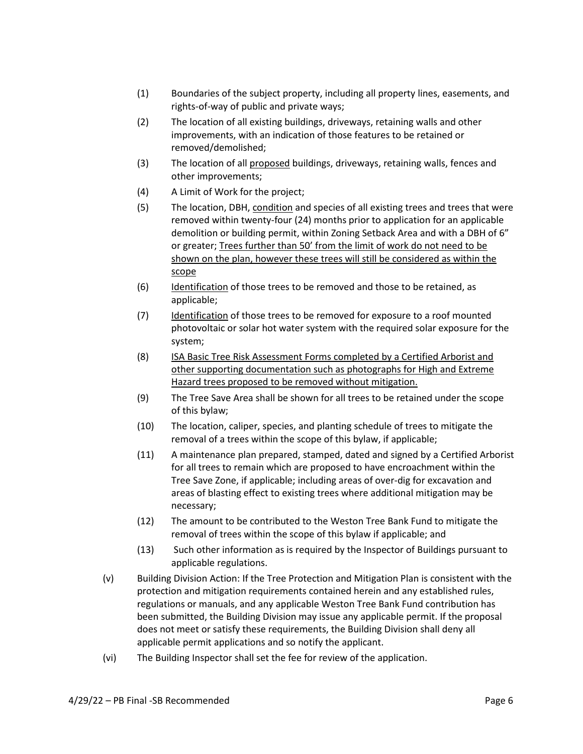- (1) Boundaries of the subject property, including all property lines, easements, and rights-of-way of public and private ways;
- (2) The location of all existing buildings, driveways, retaining walls and other improvements, with an indication of those features to be retained or removed/demolished;
- (3) The location of all proposed buildings, driveways, retaining walls, fences and other improvements;
- (4) A Limit of Work for the project;
- (5) The location, DBH, condition and species of all existing trees and trees that were removed within twenty-four (24) months prior to application for an applicable demolition or building permit, within Zoning Setback Area and with a DBH of 6" or greater; Trees further than 50' from the limit of work do not need to be shown on the plan, however these trees will still be considered as within the scope
- (6) Identification of those trees to be removed and those to be retained, as applicable;
- (7) Identification of those trees to be removed for exposure to a roof mounted photovoltaic or solar hot water system with the required solar exposure for the system;
- (8) ISA Basic Tree Risk Assessment Forms completed by a Certified Arborist and other supporting documentation such as photographs for High and Extreme Hazard trees proposed to be removed without mitigation.
- (9) The Tree Save Area shall be shown for all trees to be retained under the scope of this bylaw;
- (10) The location, caliper, species, and planting schedule of trees to mitigate the removal of a trees within the scope of this bylaw, if applicable;
- (11) A maintenance plan prepared, stamped, dated and signed by a Certified Arborist for all trees to remain which are proposed to have encroachment within the Tree Save Zone, if applicable; including areas of over-dig for excavation and areas of blasting effect to existing trees where additional mitigation may be necessary;
- (12) The amount to be contributed to the Weston Tree Bank Fund to mitigate the removal of trees within the scope of this bylaw if applicable; and
- (13) Such other information as is required by the Inspector of Buildings pursuant to applicable regulations.
- (v) Building Division Action: If the Tree Protection and Mitigation Plan is consistent with the protection and mitigation requirements contained herein and any established rules, regulations or manuals, and any applicable Weston Tree Bank Fund contribution has been submitted, the Building Division may issue any applicable permit. If the proposal does not meet or satisfy these requirements, the Building Division shall deny all applicable permit applications and so notify the applicant.
- (vi) The Building Inspector shall set the fee for review of the application.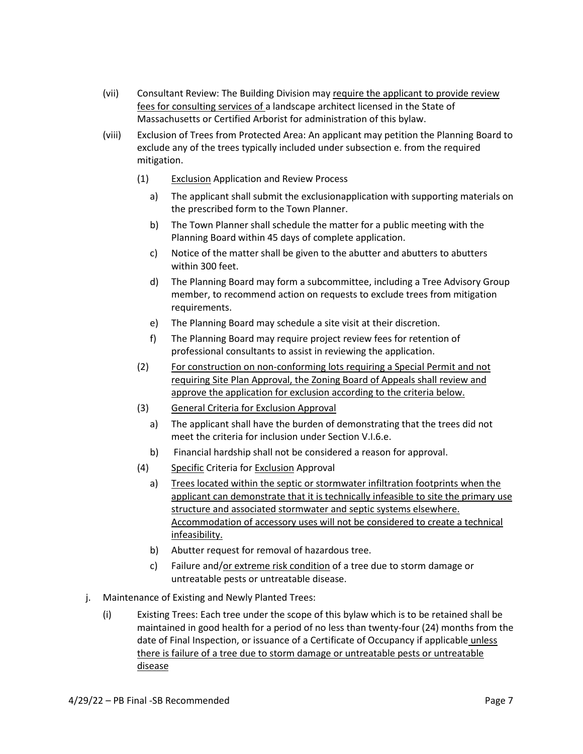- (vii) Consultant Review: The Building Division may require the applicant to provide review fees for consulting services of a landscape architect licensed in the State of Massachusetts or Certified Arborist for administration of this bylaw.
- (viii) Exclusion of Trees from Protected Area: An applicant may petition the Planning Board to exclude any of the trees typically included under subsection e. from the required mitigation.
	- (1) Exclusion Application and Review Process
		- a) The applicant shall submit the exclusionapplication with supporting materials on the prescribed form to the Town Planner.
		- b) The Town Planner shall schedule the matter for a public meeting with the Planning Board within 45 days of complete application.
		- c) Notice of the matter shall be given to the abutter and abutters to abutters within 300 feet.
		- d) The Planning Board may form a subcommittee, including a Tree Advisory Group member, to recommend action on requests to exclude trees from mitigation requirements.
		- e) The Planning Board may schedule a site visit at their discretion.
		- f) The Planning Board may require project review fees for retention of professional consultants to assist in reviewing the application.
	- (2) For construction on non-conforming lots requiring a Special Permit and not requiring Site Plan Approval, the Zoning Board of Appeals shall review and approve the application for exclusion according to the criteria below.
	- (3) General Criteria for Exclusion Approval
		- a) The applicant shall have the burden of demonstrating that the trees did not meet the criteria for inclusion under Section V.I.6.e.
		- b) Financial hardship shall not be considered a reason for approval.
	- (4) Specific Criteria for Exclusion Approval
		- a) Trees located within the septic or stormwater infiltration footprints when the applicant can demonstrate that it is technically infeasible to site the primary use structure and associated stormwater and septic systems elsewhere. Accommodation of accessory uses will not be considered to create a technical infeasibility.
		- b) Abutter request for removal of hazardous tree.
		- c) Failure and/or extreme risk condition of a tree due to storm damage or untreatable pests or untreatable disease.
- j. Maintenance of Existing and Newly Planted Trees:
	- (i) Existing Trees: Each tree under the scope of this bylaw which is to be retained shall be maintained in good health for a period of no less than twenty-four (24) months from the date of Final Inspection, or issuance of a Certificate of Occupancy if applicable unless there is failure of a tree due to storm damage or untreatable pests or untreatable disease